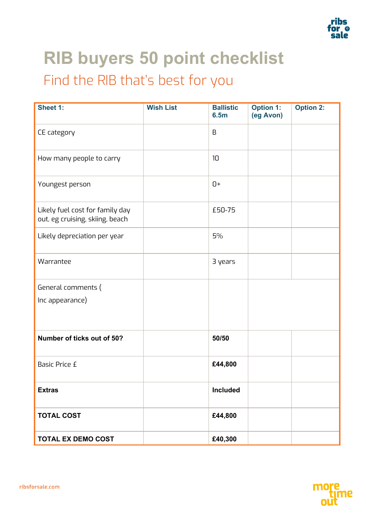

## **RIB buyers 50 point checklist** Find the RIB that's best for you

| Sheet 1:                                                           | <b>Wish List</b> | <b>Ballistic</b><br><b>6.5m</b> | <b>Option 1:</b><br>(eg Avon) | <b>Option 2:</b> |
|--------------------------------------------------------------------|------------------|---------------------------------|-------------------------------|------------------|
| CE category                                                        |                  | $\mathsf B$                     |                               |                  |
| How many people to carry                                           |                  | 10                              |                               |                  |
| Youngest person                                                    |                  | $0+$                            |                               |                  |
| Likely fuel cost for family day<br>out, eg cruising, skiing, beach |                  | £50-75                          |                               |                  |
| Likely depreciation per year                                       |                  | 5%                              |                               |                  |
| Warrantee                                                          |                  | 3 years                         |                               |                  |
| General comments (                                                 |                  |                                 |                               |                  |
| Inc appearance)                                                    |                  |                                 |                               |                  |
| Number of ticks out of 50?                                         |                  | 50/50                           |                               |                  |
| <b>Basic Price £</b>                                               |                  | £44,800                         |                               |                  |
| <b>Extras</b>                                                      |                  | Included                        |                               |                  |
| <b>TOTAL COST</b>                                                  |                  | £44,800                         |                               |                  |
| <b>TOTAL EX DEMO COST</b>                                          |                  | £40,300                         |                               |                  |

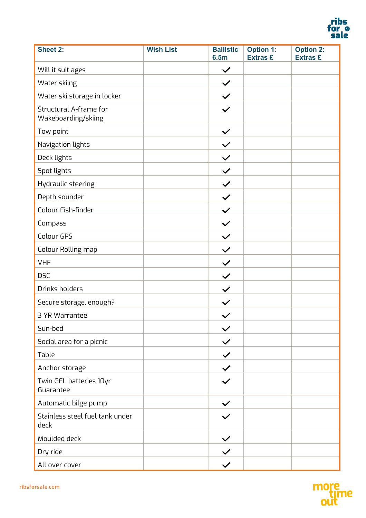

| <b>Sheet 2:</b>                               | <b>Wish List</b> | <b>Ballistic</b><br><b>6.5m</b> | <b>Option 1:</b><br><b>Extras £</b> | <b>Option 2:</b><br><b>Extras £</b> |
|-----------------------------------------------|------------------|---------------------------------|-------------------------------------|-------------------------------------|
| Will it suit ages                             |                  | $\checkmark$                    |                                     |                                     |
| Water skiing                                  |                  | $\checkmark$                    |                                     |                                     |
| Water ski storage in locker                   |                  | $\checkmark$                    |                                     |                                     |
| Structural A-frame for<br>Wakeboarding/skiing |                  | $\checkmark$                    |                                     |                                     |
| Tow point                                     |                  | $\checkmark$                    |                                     |                                     |
| Navigation lights                             |                  | $\checkmark$                    |                                     |                                     |
| Deck lights                                   |                  | $\checkmark$                    |                                     |                                     |
| Spot lights                                   |                  | $\checkmark$                    |                                     |                                     |
| Hydraulic steering                            |                  | $\checkmark$                    |                                     |                                     |
| Depth sounder                                 |                  | $\checkmark$                    |                                     |                                     |
| Colour Fish-finder                            |                  | $\checkmark$                    |                                     |                                     |
| Compass                                       |                  | $\checkmark$                    |                                     |                                     |
| Colour GPS                                    |                  | $\checkmark$                    |                                     |                                     |
| Colour Rolling map                            |                  | $\checkmark$                    |                                     |                                     |
| <b>VHF</b>                                    |                  | $\checkmark$                    |                                     |                                     |
| <b>DSC</b>                                    |                  | $\checkmark$                    |                                     |                                     |
| Drinks holders                                |                  | $\checkmark$                    |                                     |                                     |
| Secure storage, enough?                       |                  | $\checkmark$                    |                                     |                                     |
| 3 YR Warrantee                                |                  | $\checkmark$                    |                                     |                                     |
| Sun-bed                                       |                  | $\checkmark$                    |                                     |                                     |
| Social area for a picnic                      |                  | $\checkmark$                    |                                     |                                     |
| Table                                         |                  | $\checkmark$                    |                                     |                                     |
| Anchor storage                                |                  | $\checkmark$                    |                                     |                                     |
| Twin GEL batteries 10yr<br>Guarantee          |                  | $\checkmark$                    |                                     |                                     |
| Automatic bilge pump                          |                  | $\checkmark$                    |                                     |                                     |
| Stainless steel fuel tank under<br>deck       |                  |                                 |                                     |                                     |
| Moulded deck                                  |                  | $\checkmark$                    |                                     |                                     |
| Dry ride                                      |                  |                                 |                                     |                                     |
| All over cover                                |                  |                                 |                                     |                                     |